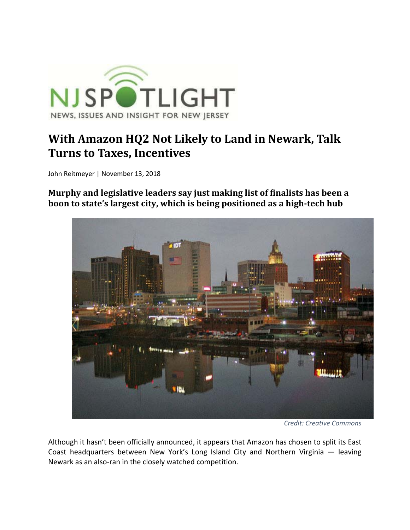

## **With Amazon HQ2 Not Likely to Land in Newark, Talk Turns to Taxes, Incentives**

John Reitmeyer | November 13, 2018

**Murphy and legislative leaders say just making list of finalists has been a boon to state's largest city, which is being positioned as a high‐tech hub**



*Credit: Creative Commons*

Although it hasn't been officially announced, it appears that Amazon has chosen to split its East Coast headquarters between New York's Long Island City and Northern Virginia — leaving Newark as an also‐ran in the closely watched competition.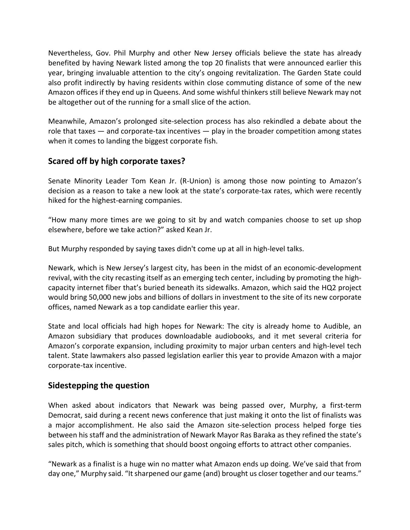Nevertheless, Gov. Phil Murphy and other New Jersey officials believe the state has already benefited by having Newark listed among the top 20 finalists that were announced earlier this year, bringing invaluable attention to the city's ongoing revitalization. The Garden State could also profit indirectly by having residents within close commuting distance of some of the new Amazon offices if they end up in Queens. And some wishful thinkers still believe Newark may not be altogether out of the running for a small slice of the action.

Meanwhile, Amazon's prolonged site‐selection process has also rekindled a debate about the role that taxes  $-$  and corporate-tax incentives  $-$  play in the broader competition among states when it comes to landing the biggest corporate fish.

## **Scared off by high corporate taxes?**

Senate Minority Leader Tom Kean Jr. (R‐Union) is among those now pointing to Amazon's decision as a reason to take a new look at the state's corporate-tax rates, which were recently hiked for the highest-earning companies.

"How many more times are we going to sit by and watch companies choose to set up shop elsewhere, before we take action?" asked Kean Jr.

But Murphy responded by saying taxes didn't come up at all in high‐level talks.

Newark, which is New Jersey's largest city, has been in the midst of an economic‐development revival, with the city recasting itself as an emerging tech center, including by promoting the highcapacity internet fiber that's buried beneath its sidewalks. Amazon, which said the HQ2 project would bring 50,000 new jobs and billions of dollars in investment to the site of its new corporate offices, named Newark as a top candidate earlier this year.

State and local officials had high hopes for Newark: The city is already home to Audible, an Amazon subsidiary that produces downloadable audiobooks, and it met several criteria for Amazon's corporate expansion, including proximity to major urban centers and high‐level tech talent. State lawmakers also passed legislation earlier this year to provide Amazon with a major corporate‐tax incentive.

## **Sidestepping the question**

When asked about indicators that Newark was being passed over, Murphy, a first-term Democrat, said during a recent news conference that just making it onto the list of finalists was a major accomplishment. He also said the Amazon site‐selection process helped forge ties between his staff and the administration of Newark Mayor Ras Baraka as they refined the state's sales pitch, which is something that should boost ongoing efforts to attract other companies.

"Newark as a finalist is a huge win no matter what Amazon ends up doing. We've said that from day one," Murphy said. "It sharpened our game (and) brought us closer together and our teams."